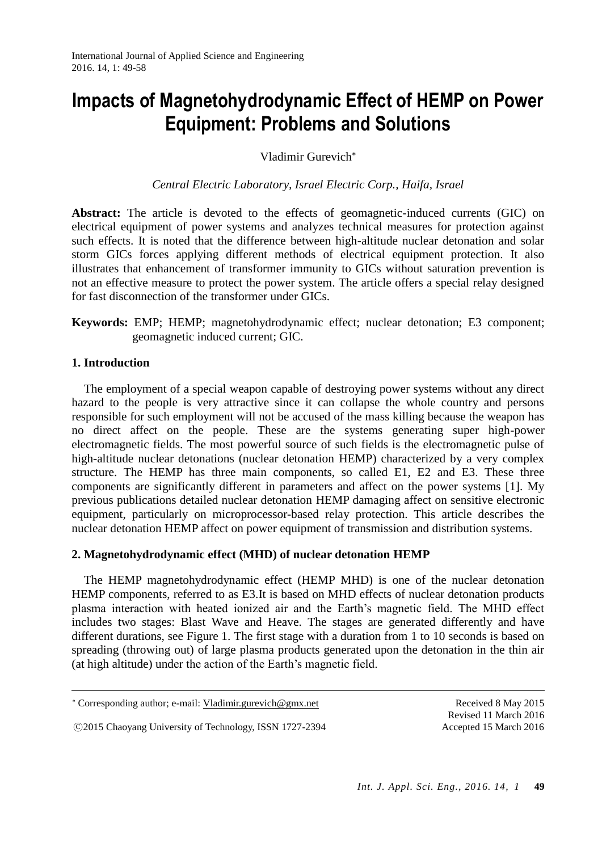# **Impacts of Magnetohydrodynamic Effect of HEMP on Power Equipment: Problems and Solutions**

Vladimir Gurevich

*Central Electric Laboratory, Israel Electric Corp., Haifa, Israel*

Abstract: The article is devoted to the effects of geomagnetic-induced currents (GIC) on electrical equipment of power systems and analyzes technical measures for protection against such effects. It is noted that the difference between high-altitude nuclear detonation and solar storm GICs forces applying different methods of electrical equipment protection. It also illustrates that enhancement of transformer immunity to GICs without saturation prevention is not an effective measure to protect the power system. The article offers a special relay designed for fast disconnection of the transformer under GICs.

## **Keywords:** EMP; HEMP; magnetohydrodynamic effect; nuclear detonation; E3 component; geomagnetic induced current; GIC.

## **1. Introduction**

 $\overline{a}$ 

The employment of a special weapon capable of destroying power systems without any direct hazard to the people is very attractive since it can collapse the whole country and persons responsible for such employment will not be accused of the mass killing because the weapon has no direct affect on the people. These are the systems generating super high-power electromagnetic fields. The most powerful source of such fields is the electromagnetic pulse of high-altitude nuclear detonations (nuclear detonation HEMP) characterized by a very complex structure. The HEMP has three main components, so called E1, E2 and E3. These three components are significantly different in parameters and affect on the power systems [1]. My previous publications detailed nuclear detonation HEMP damaging affect on sensitive electronic equipment, particularly on microprocessor-based relay protection. This article describes the nuclear detonation HEMP affect on power equipment of transmission and distribution systems.

## **2. Magnetohydrodynamic effect (MHD) of nuclear detonation HEMP**

The HEMP magnetohydrodynamic effect (HEMP MHD) is one of the nuclear detonation HEMP components, referred to as E3.It is based on MHD effects of nuclear detonation products plasma interaction with heated ionized air and the Earth's magnetic field. The MHD effect includes two stages: Blast Wave and Heave. The stages are generated differently and have different durations, see Figure 1. The first stage with a duration from 1 to 10 seconds is based on spreading (throwing out) of large plasma products generated upon the detonation in the thin air (at high altitude) under the action of the Earth's magnetic field.

○<sup>C</sup> 2015 Chaoyang University of Technology, ISSN 1727-2394 Accepted 15 March 2016

Corresponding author; e-mail: [Vladimir.gurevich@gmx.net](mailto:Vladimir.gurevich@gmx.net) Received 8 May 2015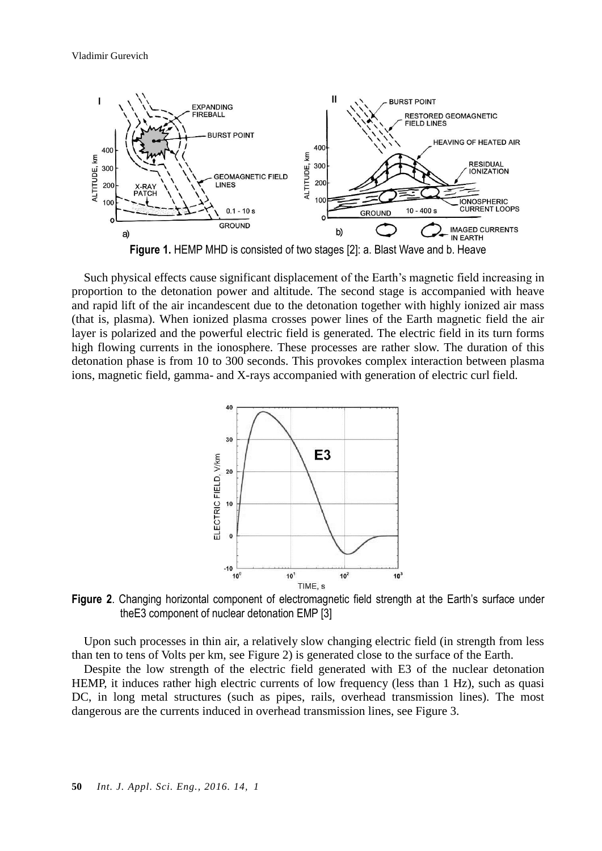

Such physical effects cause significant displacement of the Earth's magnetic field increasing in proportion to the detonation power and altitude. The second stage is accompanied with heave and rapid lift of the air incandescent due to the detonation together with highly ionized air mass (that is, plasma). When ionized plasma crosses power lines of the Earth magnetic field the air layer is polarized and the powerful electric field is generated. The electric field in its turn forms high flowing currents in the ionosphere. These processes are rather slow. The duration of this detonation phase is from 10 to 300 seconds. This provokes complex interaction between plasma

ions, magnetic field, gamma- and X-rays accompanied with generation of electric curl field.



**Figure 2**. Changing horizontal component of electromagnetic field strength at the Earth's surface under theE3 component of nuclear detonation EMP [3]

Upon such processes in thin air, a relatively slow changing electric field (in strength from less than ten to tens of Volts per km, see Figure 2) is generated close to the surface of the Earth.

Despite the low strength of the electric field generated with E3 of the nuclear detonation HEMP, it induces rather high electric currents of low frequency (less than 1 Hz), such as quasi DC, in long metal structures (such as pipes, rails, overhead transmission lines). The most dangerous are the currents induced in overhead transmission lines, see Figure 3.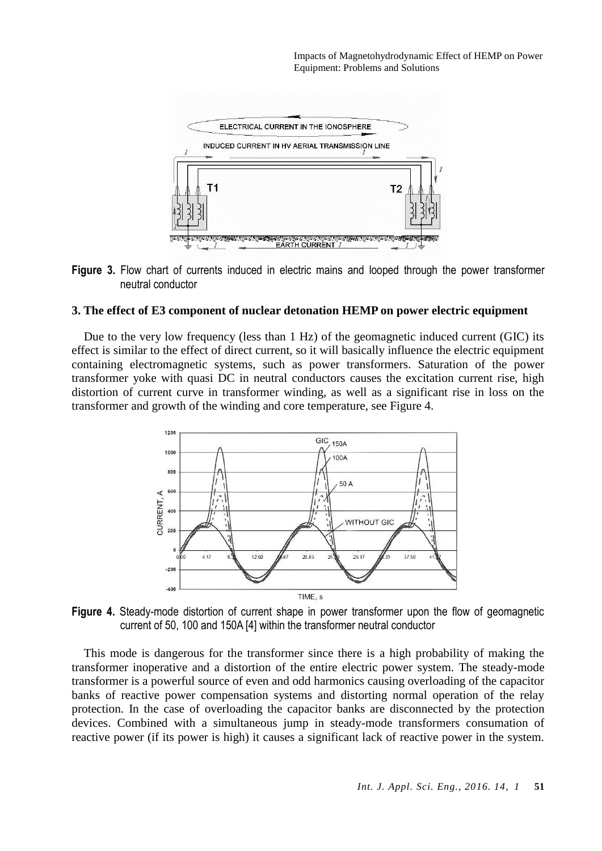



#### **3. The effect of E3 component of nuclear detonation HEMP on power electric equipment**

Due to the very low frequency (less than 1 Hz) of the geomagnetic induced current (GIC) its effect is similar to the effect of direct current, so it will basically influence the electric equipment containing electromagnetic systems, such as power transformers. Saturation of the power transformer yoke with quasi DC in neutral conductors causes the excitation current rise, high distortion of current curve in transformer winding, as well as a significant rise in loss on the transformer and growth of the winding and core temperature, see Figure 4.



**Figure 4.** Steady-mode distortion of current shape in power transformer upon the flow of geomagnetic current of 50, 100 and 150A [4] within the transformer neutral conductor

This mode is dangerous for the transformer since there is a high probability of making the transformer inoperative and a distortion of the entire electric power system. The steady-mode transformer is a powerful source of even and odd harmonics causing overloading of the capacitor banks of reactive power compensation systems and distorting normal operation of the relay protection. In the case of overloading the capacitor banks are disconnected by the protection devices. Combined with a simultaneous jump in steady-mode transformers consumation of reactive power (if its power is high) it causes a significant lack of reactive power in the system.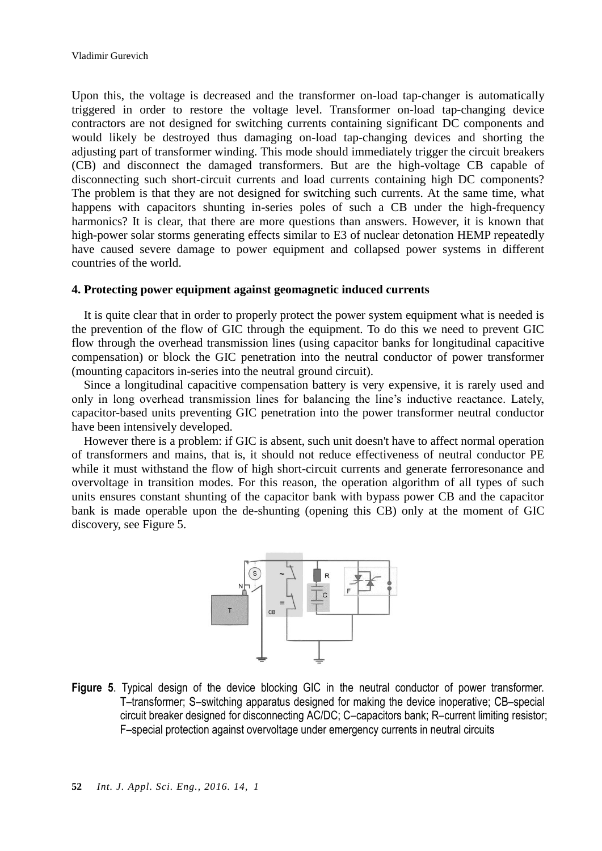Upon this, the voltage is decreased and the transformer on-load tap-changer is automatically triggered in order to restore the voltage level. Transformer on-load tap-changing device contractors are not designed for switching currents containing significant DC components and would likely be destroyed thus damaging on-load tap-changing devices and shorting the adjusting part of transformer winding. This mode should immediately trigger the circuit breakers (CB) and disconnect the damaged transformers. But are the high-voltage CB capable of disconnecting such short-circuit currents and load currents containing high DC components? The problem is that they are not designed for switching such currents. At the same time, what happens with capacitors shunting in-series poles of such a CB under the high-frequency harmonics? It is clear, that there are more questions than answers. However, it is known that high-power solar storms generating effects similar to E3 of nuclear detonation HEMP repeatedly have caused severe damage to power equipment and collapsed power systems in different countries of the world.

#### **4. Protecting power equipment against geomagnetic induced currents**

It is quite clear that in order to properly protect the power system equipment what is needed is the prevention of the flow of GIC through the equipment. To do this we need to prevent GIC flow through the overhead transmission lines (using capacitor banks for longitudinal capacitive compensation) or block the GIC penetration into the neutral conductor of power transformer (mounting capacitors in-series into the neutral ground circuit).

Since a longitudinal capacitive compensation battery is very expensive, it is rarely used and only in long overhead transmission lines for balancing the line's inductive reactance. Lately, capacitor-based units preventing GIC penetration into the power transformer neutral conductor have been intensively developed.

However there is a problem: if GIC is absent, such unit doesn't have to affect normal operation of transformers and mains, that is, it should not reduce effectiveness of neutral conductor PE while it must withstand the flow of high short-circuit currents and generate ferroresonance and overvoltage in transition modes. For this reason, the operation algorithm of all types of such units ensures constant shunting of the capacitor bank with bypass power CB and the capacitor bank is made operable upon the de-shunting (opening this CB) only at the moment of GIC discovery, see Figure 5.



**Figure 5**. Typical design of the device blocking GIC in the neutral conductor of power transformer. Т–transformer; S–switching apparatus designed for making the device inoperative; СВ–special circuit breaker designed for disconnecting AC/DC; С–capacitors bank; R–current limiting resistor; F–special protection against overvoltage under emergency currents in neutral circuits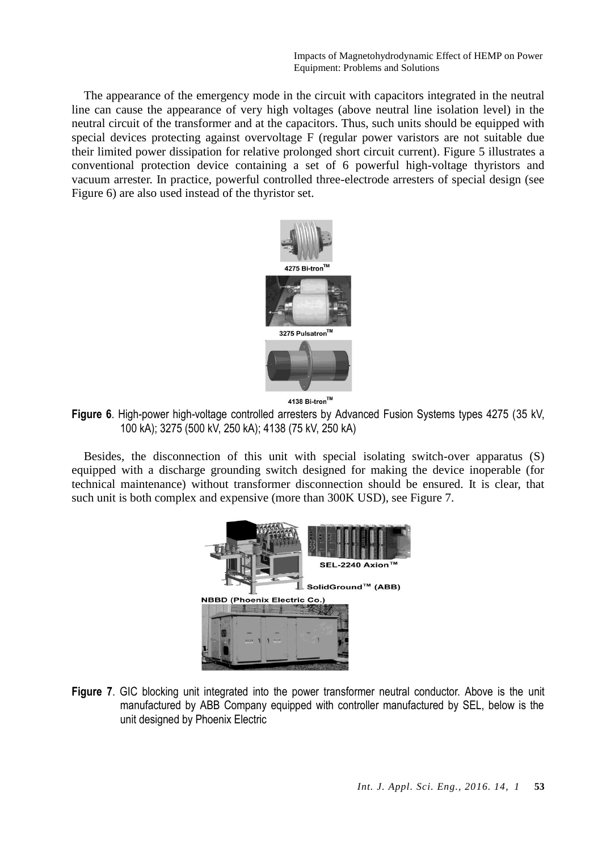Impacts of Magnetohydrodynamic Effect of HEMP on Power Equipment: Problems and Solutions

The appearance of the emergency mode in the circuit with capacitors integrated in the neutral line can cause the appearance of very high voltages (above neutral line isolation level) in the neutral circuit of the transformer and at the capacitors. Thus, such units should be equipped with special devices protecting against overvoltage F (regular power varistors are not suitable due their limited power dissipation for relative prolonged short circuit current). Figure 5 illustrates a conventional protection device containing a set of 6 powerful high-voltage thyristors and vacuum arrester. In practice, powerful controlled three-electrode arresters of special design (see Figure 6) are also used instead of the thyristor set.



4138 Bi-tron™

**Figure 6**. High-power high-voltage controlled arresters by Advanced Fusion Systems types 4275 (35 kV, 100 kA); 3275 (500 kV, 250 kA); 4138 (75 kV, 250 kA)

Besides, the disconnection of this unit with special isolating switch-over apparatus (S) equipped with a discharge grounding switch designed for making the device inoperable (for technical maintenance) without transformer disconnection should be ensured. It is clear, that such unit is both complex and expensive (more than 300K USD), see Figure 7.



**Figure 7**. GIC blocking unit integrated into the power transformer neutral conductor. Above is the unit manufactured by ABB Company equipped with controller manufactured by SEL, below is the unit designed by Phoenix Electric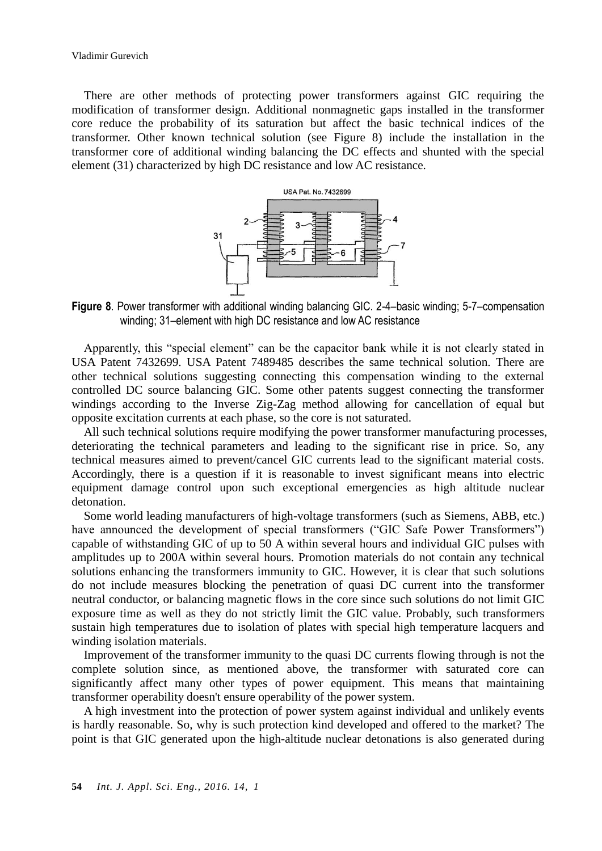There are other methods of protecting power transformers against GIC requiring the modification of transformer design. Additional nonmagnetic gaps installed in the transformer core reduce the probability of its saturation but affect the basic technical indices of the transformer. Other known technical solution (see Figure 8) include the installation in the transformer core of additional winding balancing the DC effects and shunted with the special element (31) characterized by high DC resistance and low AC resistance.



**Figure 8**. Power transformer with additional winding balancing GIC. 2-4–basic winding; 5-7–compensation winding: 31–element with high DC resistance and low AC resistance

Apparently, this "special element" can be the capacitor bank while it is not clearly stated in USA Patent 7432699. USA Patent 7489485 describes the same technical solution. There are other technical solutions suggesting connecting this compensation winding to the external controlled DC source balancing GIC. Some other patents suggest connecting the transformer windings according to the Inverse Zig-Zag method allowing for cancellation of equal but opposite excitation currents at each phase, so the core is not saturated.

All such technical solutions require modifying the power transformer manufacturing processes, deteriorating the technical parameters and leading to the significant rise in price. So, any technical measures aimed to prevent/cancel GIC currents lead to the significant material costs. Accordingly, there is a question if it is reasonable to invest significant means into electric equipment damage control upon such exceptional emergencies as high altitude nuclear detonation.

Some world leading manufacturers of high-voltage transformers (such as Siemens, ABB, etc.) have announced the development of special transformers ("GIC Safe Power Transformers") capable of withstanding GIC of up to 50 A within several hours and individual GIC pulses with amplitudes up to 200A within several hours. Promotion materials do not contain any technical solutions enhancing the transformers immunity to GIC. However, it is clear that such solutions do not include measures blocking the penetration of quasi DC current into the transformer neutral conductor, or balancing magnetic flows in the core since such solutions do not limit GIC exposure time as well as they do not strictly limit the GIC value. Probably, such transformers sustain high temperatures due to isolation of plates with special high temperature lacquers and winding isolation materials.

Improvement of the transformer immunity to the quasi DC currents flowing through is not the complete solution since, as mentioned above, the transformer with saturated core can significantly affect many other types of power equipment. This means that maintaining transformer operability doesn't ensure operability of the power system.

A high investment into the protection of power system against individual and unlikely events is hardly reasonable. So, why is such protection kind developed and offered to the market? The point is that GIC generated upon the high-altitude nuclear detonations is also generated during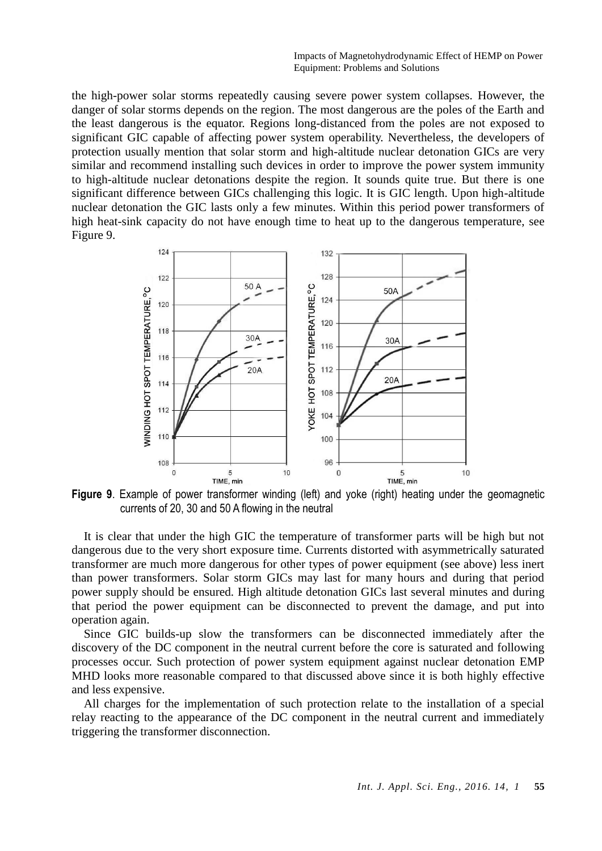Impacts of Magnetohydrodynamic Effect of HEMP on Power Equipment: Problems and Solutions

the high-power solar storms repeatedly causing severe power system collapses. However, the danger of solar storms depends on the region. The most dangerous are the poles of the Earth and the least dangerous is the equator. Regions long-distanced from the poles are not exposed to significant GIC capable of affecting power system operability. Nevertheless, the developers of protection usually mention that solar storm and high-altitude nuclear detonation GICs are very similar and recommend installing such devices in order to improve the power system immunity to high-altitude nuclear detonations despite the region. It sounds quite true. But there is one significant difference between GICs challenging this logic. It is GIC length. Upon high-altitude nuclear detonation the GIC lasts only a few minutes. Within this period power transformers of high heat-sink capacity do not have enough time to heat up to the dangerous temperature, see Figure 9.



**Figure 9**. Example of power transformer winding (left) and yoke (right) heating under the geomagnetic currents of 20, 30 and 50 A flowing in the neutral

It is clear that under the high GIC the temperature of transformer parts will be high but not dangerous due to the very short exposure time. Currents distorted with asymmetrically saturated transformer are much more dangerous for other types of power equipment (see above) less inert than power transformers. Solar storm GICs may last for many hours and during that period power supply should be ensured. High altitude detonation GICs last several minutes and during that period the power equipment can be disconnected to prevent the damage, and put into operation again.

Since GIC builds-up slow the transformers can be disconnected immediately after the discovery of the DC component in the neutral current before the core is saturated and following processes occur. Such protection of power system equipment against nuclear detonation EMP MHD looks more reasonable compared to that discussed above since it is both highly effective and less expensive.

All charges for the implementation of such protection relate to the installation of a special relay reacting to the appearance of the DC component in the neutral current and immediately triggering the transformer disconnection.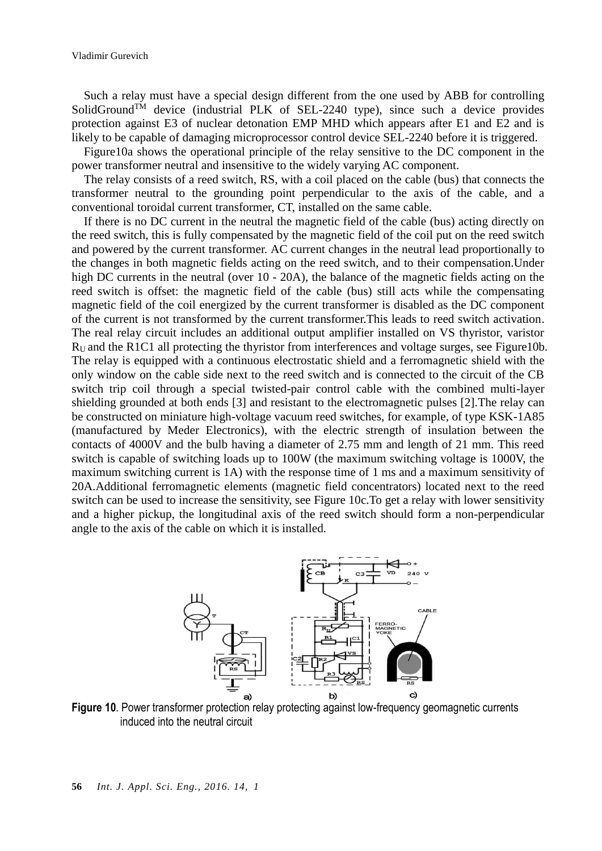Such a relay must have a special design different from the one used by ABB for controlling SolidGround<sup>TM</sup> device (industrial PLK of SEL-2240 type), since such a device provides protection against E3 of nuclear detonation EMP MHD which appears after E1 and E2 and is likely to be capable of damaging microprocessor control device SEL-2240 before it is triggered.

Figure10a shows the operational principle of the relay sensitive to the DC component in the power transformer neutral and insensitive to the widely varying AC component.

The relay consists of a reed switch, RS, with a coil placed on the cable (bus) that connects the transformer neutral to the grounding point perpendicular to the axis of the cable, and a conventional toroidal current transformer, CT, installed on the same cable.

If there is no DC current in the neutral the magnetic field of the cable (bus) acting directly on the reed switch, this is fully compensated by the magnetic field of the coil put on the reed switch and powered by the current transformer. AC current changes in the neutral lead proportionally to the changes in both magnetic fields acting on the reed switch, and to their compensation.Under high DC currents in the neutral (over 10 - 20A), the balance of the magnetic fields acting on the reed switch is offset: the magnetic field of the cable (bus) still acts while the compensating magnetic field of the coil energized by the current transformer is disabled as the DC component of the current is not transformed by the current transformer.This leads to reed switch activation. The real relay circuit includes an additional output amplifier installed on VS thyristor, varistor RU and the R1C1 all protecting the thyristor from interferences and voltage surges, see Figure10b. The relay is equipped with a continuous electrostatic shield and a ferromagnetic shield with the only window on the cable side next to the reed switch and is connected to the circuit of the CB switch trip coil through a special twisted-pair control cable with the combined multi-layer shielding grounded at both ends [3] and resistant to the electromagnetic pulses [2].The relay can be constructed on miniature high-voltage vacuum reed switches, for example, of type KSK-1A85 (manufactured by Meder Electronics), with the electric strength of insulation between the contacts of 4000V and the bulb having a diameter of 2.75 mm and length of 21 mm. This reed switch is capable of switching loads up to 100W (the maximum switching voltage is 1000V, the maximum switching current is 1A) with the response time of 1 ms and a maximum sensitivity of 20A.Additional ferromagnetic elements (magnetic field concentrators) located next to the reed switch can be used to increase the sensitivity, see Figure 10c.To get a relay with lower sensitivity and a higher pickup, the longitudinal axis of the reed switch should form a non-perpendicular angle to the axis of the cable on which it is installed.



Figure 10. Power transformer protection relay protecting against low-frequency geomagnetic currents induced into the neutral circuit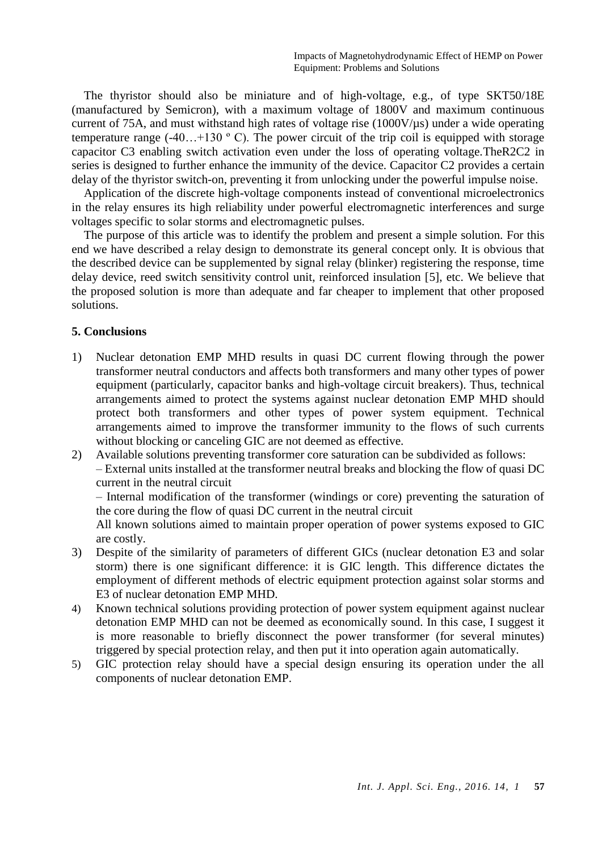The thyristor should also be miniature and of high-voltage, e.g., of type SKT50/18E (manufactured by Semicron), with a maximum voltage of 1800V and maximum continuous current of 75A, and must withstand high rates of voltage rise (1000V/µs) under a wide operating temperature range  $(-40...+130)$  °C). The power circuit of the trip coil is equipped with storage capacitor C3 enabling switch activation even under the loss of operating voltage.TheR2C2 in series is designed to further enhance the immunity of the device. Capacitor C2 provides a certain delay of the thyristor switch-on, preventing it from unlocking under the powerful impulse noise.

Application of the discrete high-voltage components instead of conventional microelectronics in the relay ensures its high reliability under powerful electromagnetic interferences and surge voltages specific to solar storms and electromagnetic pulses.

The purpose of this article was to identify the problem and present a simple solution. For this end we have described a relay design to demonstrate its general concept only. It is obvious that the described device can be supplemented by signal relay (blinker) registering the response, time delay device, reed switch sensitivity control unit, reinforced insulation [5], etc. We believe that the proposed solution is more than adequate and far cheaper to implement that other proposed solutions.

## **5. Conclusions**

- 1) Nuclear detonation EMP MHD results in quasi DC current flowing through the power transformer neutral conductors and affects both transformers and many other types of power equipment (particularly, capacitor banks and high-voltage circuit breakers). Thus, technical arrangements aimed to protect the systems against nuclear detonation EMP MHD should protect both transformers and other types of power system equipment. Technical arrangements aimed to improve the transformer immunity to the flows of such currents without blocking or canceling GIC are not deemed as effective.
- 2) Available solutions preventing transformer core saturation can be subdivided as follows: – External units installed at the transformer neutral breaks and blocking the flow of quasi DC current in the neutral circuit

– Internal modification of the transformer (windings or core) preventing the saturation of the core during the flow of quasi DC current in the neutral circuit

All known solutions aimed to maintain proper operation of power systems exposed to GIC are costly.

- 3) Despite of the similarity of parameters of different GICs (nuclear detonation E3 and solar storm) there is one significant difference: it is GIC length. This difference dictates the employment of different methods of electric equipment protection against solar storms and E3 of nuclear detonation EMP MHD.
- 4) Known technical solutions providing protection of power system equipment against nuclear detonation EMP MHD can not be deemed as economically sound. In this case, I suggest it is more reasonable to briefly disconnect the power transformer (for several minutes) triggered by special protection relay, and then put it into operation again automatically.
- 5) GIC protection relay should have a special design ensuring its operation under the all components of nuclear detonation EMP.